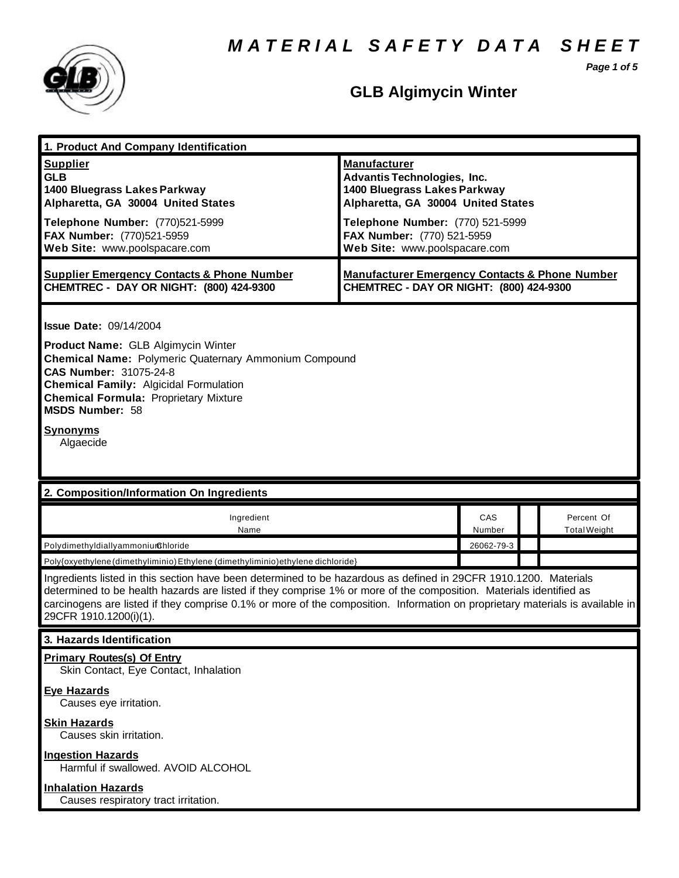*M A T E R I A L S A F E T Y D A T A S H E E T*

*Page 1 of 5*



# **GLB Algimycin Winter**

| 1. Product And Company Identification                                                                                                                                                                                                                                                                                                                                                                                                                                                 |                                                                                                                                 |               |  |                                   |
|---------------------------------------------------------------------------------------------------------------------------------------------------------------------------------------------------------------------------------------------------------------------------------------------------------------------------------------------------------------------------------------------------------------------------------------------------------------------------------------|---------------------------------------------------------------------------------------------------------------------------------|---------------|--|-----------------------------------|
| <b>Supplier</b><br><b>GLB</b><br>1400 Bluegrass Lakes Parkway<br>Alpharetta, GA 30004 United States<br>Telephone Number: (770)521-5999                                                                                                                                                                                                                                                                                                                                                | <b>Manufacturer</b><br><b>Advantis Technologies, Inc.</b><br>1400 Bluegrass Lakes Parkway<br>Alpharetta, GA 30004 United States |               |  |                                   |
| FAX Number: (770)521-5959<br>Web Site: www.poolspacare.com                                                                                                                                                                                                                                                                                                                                                                                                                            | Telephone Number: (770) 521-5999<br>FAX Number: (770) 521-5959<br>Web Site: www.poolspacare.com                                 |               |  |                                   |
| <b>Supplier Emergency Contacts &amp; Phone Number</b><br>CHEMTREC - DAY OR NIGHT: (800) 424-9300                                                                                                                                                                                                                                                                                                                                                                                      | <b>Manufacturer Emergency Contacts &amp; Phone Number</b><br>CHEMTREC - DAY OR NIGHT: (800) 424-9300                            |               |  |                                   |
| <b>Issue Date: 09/14/2004</b><br><b>Product Name: GLB Algimycin Winter</b><br><b>Chemical Name: Polymeric Quaternary Ammonium Compound</b><br><b>CAS Number: 31075-24-8</b><br><b>Chemical Family: Algicidal Formulation</b><br><b>Chemical Formula: Proprietary Mixture</b><br>MSDS Number: 58<br><b>Synonyms</b><br>Algaecide                                                                                                                                                       |                                                                                                                                 |               |  |                                   |
| 2. Composition/Information On Ingredients                                                                                                                                                                                                                                                                                                                                                                                                                                             |                                                                                                                                 |               |  |                                   |
|                                                                                                                                                                                                                                                                                                                                                                                                                                                                                       |                                                                                                                                 |               |  |                                   |
| Ingredient<br>Name                                                                                                                                                                                                                                                                                                                                                                                                                                                                    |                                                                                                                                 | CAS<br>Number |  | Percent Of<br><b>Total Weight</b> |
| PolydimethyldiallyammoniumChloride                                                                                                                                                                                                                                                                                                                                                                                                                                                    |                                                                                                                                 | 26062-79-3    |  |                                   |
| Poly{oxyethylene (dimethyliminio) Ethylene (dimethyliminio) ethylene dichloride}<br>Ingredients listed in this section have been determined to be hazardous as defined in 29CFR 1910.1200. Materials<br>determined to be health hazards are listed if they comprise 1% or more of the composition. Materials identified as<br>carcinogens are listed if they comprise 0.1% or more of the composition. Information on proprietary materials is available in<br>29CFR 1910.1200(i)(1). |                                                                                                                                 |               |  |                                   |
| 3. Hazards Identification                                                                                                                                                                                                                                                                                                                                                                                                                                                             |                                                                                                                                 |               |  |                                   |
| <b>Primary Routes(s) Of Entry</b><br>Skin Contact, Eye Contact, Inhalation<br><b>Eye Hazards</b>                                                                                                                                                                                                                                                                                                                                                                                      |                                                                                                                                 |               |  |                                   |
| Causes eye irritation.<br><b>Skin Hazards</b><br>Causes skin irritation.                                                                                                                                                                                                                                                                                                                                                                                                              |                                                                                                                                 |               |  |                                   |
| <b>Ingestion Hazards</b><br>Harmful if swallowed. AVOID ALCOHOL                                                                                                                                                                                                                                                                                                                                                                                                                       |                                                                                                                                 |               |  |                                   |
| <b>Inhalation Hazards</b><br>Causes respiratory tract irritation.                                                                                                                                                                                                                                                                                                                                                                                                                     |                                                                                                                                 |               |  |                                   |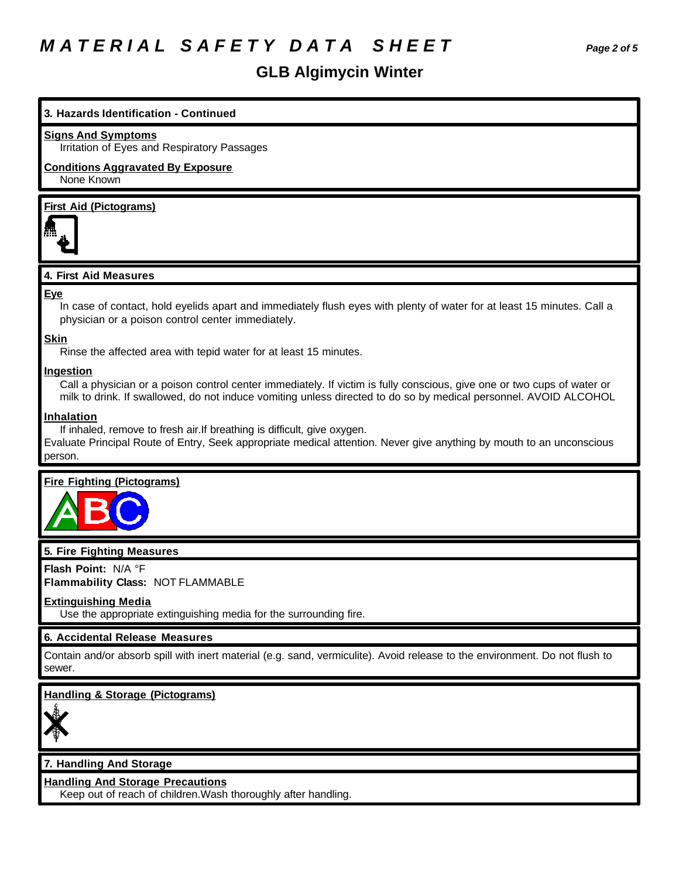# *M A T E R I A L S A F E T Y D A T A S H E E T Page 2 of 5*

# **GLB Algimycin Winter**

# **3. Hazards Identification - Continued**

#### **Signs And Symptoms**

Irritation of Eyes and Respiratory Passages

# **Conditions Aggravated By Exposure**

None Known

# **First Aid (Pictograms)**



# **4. First Aid Measures**

#### **Eye**

In case of contact, hold eyelids apart and immediately flush eyes with plenty of water for at least 15 minutes. Call a physician or a poison control center immediately.

#### **Skin**

Rinse the affected area with tepid water for at least 15 minutes.

#### **Ingestion**

Call a physician or a poison control center immediately. If victim is fully conscious, give one or two cups of water or milk to drink. If swallowed, do not induce vomiting unless directed to do so by medical personnel. AVOID ALCOHOL

#### **Inhalation**

If inhaled, remove to fresh air.If breathing is difficult, give oxygen.

Evaluate Principal Route of Entry, Seek appropriate medical attention. Never give anything by mouth to an unconscious person.

### **Fire Fighting (Pictograms)**



# **5. Fire Fighting Measures**

**Flash Point:** N/A °F

**Flammability Class:** NOT FLAMMABLE

### **Extinguishing Media**

Use the appropriate extinguishing media for the surrounding fire.

# **6. Accidental Release Measures**

Contain and/or absorb spill with inert material (e.g. sand, vermiculite). Avoid release to the environment. Do not flush to sewer.

# **Handling & Storage (Pictograms)**



# **7. Handling And Storage**

**Handling And Storage Precautions**

Keep out of reach of children.Wash thoroughly after handling.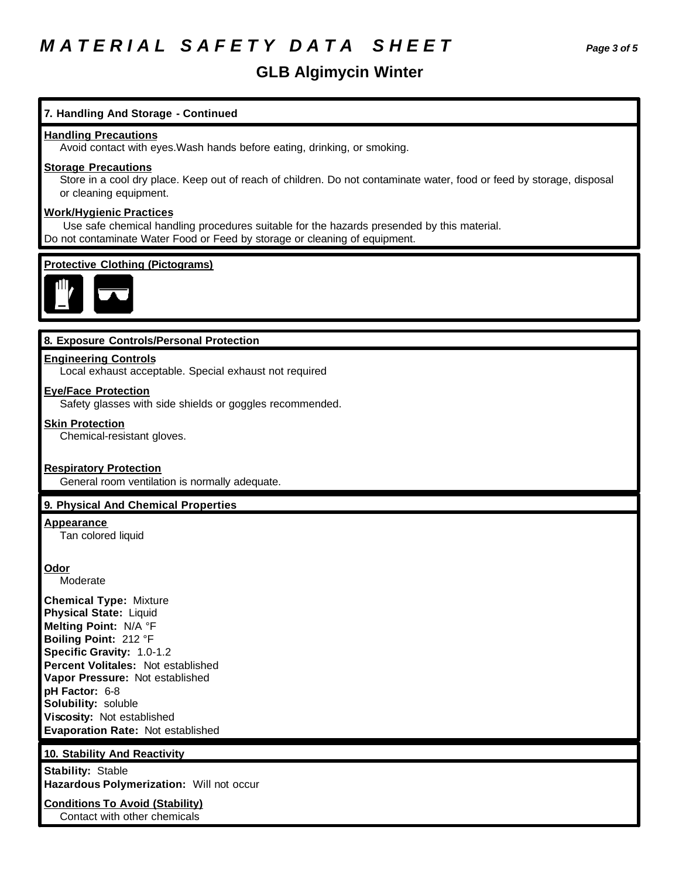# *M A T E R I A L S A F E T Y D A T A S H E E T Page 3 of 5*

# **GLB Algimycin Winter**

# **7. Handling And Storage - Continued**

#### **Handling Precautions**

Avoid contact with eyes.Wash hands before eating, drinking, or smoking.

# **Storage Precautions**

Store in a cool dry place. Keep out of reach of children. Do not contaminate water, food or feed by storage, disposal or cleaning equipment.

# **Work/Hygienic Practices**

 Use safe chemical handling procedures suitable for the hazards presended by this material. Do not contaminate Water Food or Feed by storage or cleaning of equipment.

# **Protective Clothing (Pictograms)**



### **8. Exposure Controls/Personal Protection**

### **Engineering Controls**

Local exhaust acceptable. Special exhaust not required

#### **Eye/Face Protection**

Safety glasses with side shields or goggles recommended.

#### **Skin Protection**

Chemical-resistant gloves.

#### **Respiratory Protection**

General room ventilation is normally adequate.

### **9. Physical And Chemical Properties**

#### **Appearance**

Tan colored liquid

#### **Odor**

Moderate

**Chemical Type:** Mixture **Physical State:** Liquid **Melting Point:** N/A °F **Boiling Point:** 212 °F **Specific Gravity:** 1.0-1.2 **Percent Volitales:** Not established **Vapor Pressure:** Not established **pH Factor:** 6-8 **Solubility:** soluble **Viscosity:** Not established **Evaporation Rate:** Not established

### **10. Stability And Reactivity**

**Stability:** Stable **Hazardous Polymerization:** Will not occur

**Conditions To Avoid (Stability)** Contact with other chemicals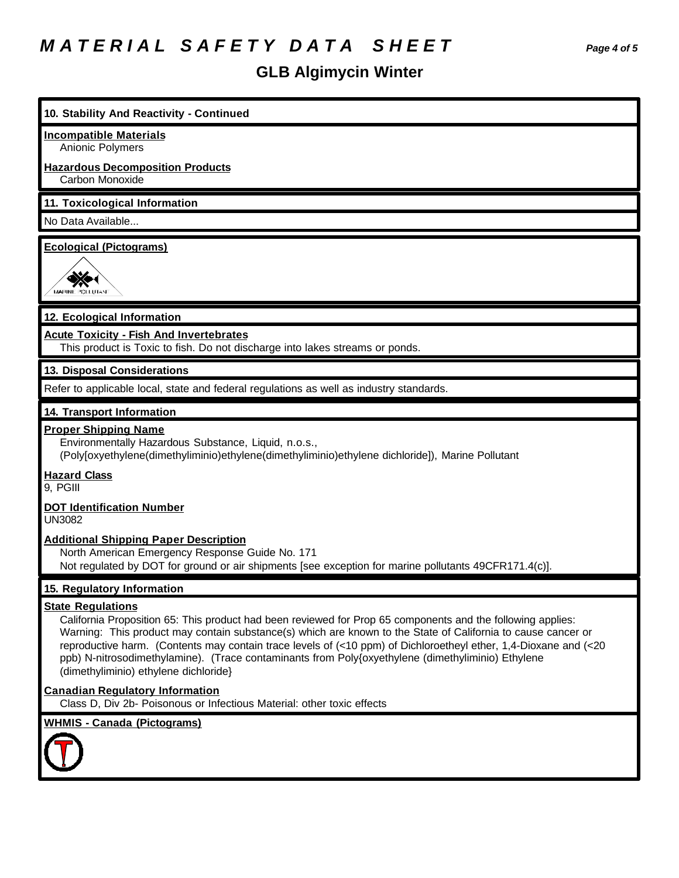# *M A T E R I A L S A F E T Y D A T A S H E E T Page 4 of 5*

# **GLB Algimycin Winter**

| 10. Stability And Reactivity - Continued                                                                                                                                                                                                                                                                                                                                                                                                                                                                                  |
|---------------------------------------------------------------------------------------------------------------------------------------------------------------------------------------------------------------------------------------------------------------------------------------------------------------------------------------------------------------------------------------------------------------------------------------------------------------------------------------------------------------------------|
| <b>Incompatible Materials</b>                                                                                                                                                                                                                                                                                                                                                                                                                                                                                             |
| Anionic Polymers                                                                                                                                                                                                                                                                                                                                                                                                                                                                                                          |
| <b>Hazardous Decomposition Products</b><br>Carbon Monoxide                                                                                                                                                                                                                                                                                                                                                                                                                                                                |
| 11. Toxicological Information                                                                                                                                                                                                                                                                                                                                                                                                                                                                                             |
| No Data Available                                                                                                                                                                                                                                                                                                                                                                                                                                                                                                         |
| <b>Ecological (Pictograms)</b><br>MARINE POLITICA                                                                                                                                                                                                                                                                                                                                                                                                                                                                         |
| 12. Ecological Information                                                                                                                                                                                                                                                                                                                                                                                                                                                                                                |
| <b>Acute Toxicity - Fish And Invertebrates</b><br>This product is Toxic to fish. Do not discharge into lakes streams or ponds.                                                                                                                                                                                                                                                                                                                                                                                            |
| 13. Disposal Considerations                                                                                                                                                                                                                                                                                                                                                                                                                                                                                               |
| Refer to applicable local, state and federal regulations as well as industry standards.                                                                                                                                                                                                                                                                                                                                                                                                                                   |
| 14. Transport Information                                                                                                                                                                                                                                                                                                                                                                                                                                                                                                 |
| <b>Proper Shipping Name</b><br>Environmentally Hazardous Substance, Liquid, n.o.s.,<br>(Poly[oxyethylene(dimethyliminio)ethylene(dimethyliminio)ethylene dichloride]), Marine Pollutant                                                                                                                                                                                                                                                                                                                                   |
| <b>Hazard Class</b><br>9, PGIII                                                                                                                                                                                                                                                                                                                                                                                                                                                                                           |
| <b>DOT Identification Number</b><br><b>UN3082</b>                                                                                                                                                                                                                                                                                                                                                                                                                                                                         |
| <b>Additional Shipping Paper Description</b><br>North American Emergency Response Guide No. 171<br>Not regulated by DOT for ground or air shipments [see exception for marine pollutants 49CFR171.4(c)].                                                                                                                                                                                                                                                                                                                  |
| 15. Regulatory Information                                                                                                                                                                                                                                                                                                                                                                                                                                                                                                |
| <b>State Regulations</b><br>California Proposition 65: This product had been reviewed for Prop 65 components and the following applies:<br>Warning: This product may contain substance(s) which are known to the State of California to cause cancer or<br>reproductive harm. (Contents may contain trace levels of (<10 ppm) of Dichloroetheyl ether, 1,4-Dioxane and (<20<br>ppb) N-nitrosodimethylamine). (Trace contaminants from Poly{oxyethylene (dimethyliminio) Ethylene<br>(dimethyliminio) ethylene dichloride} |
| <b>Canadian Regulatory Information</b><br>Class D, Div 2b- Poisonous or Infectious Material: other toxic effects                                                                                                                                                                                                                                                                                                                                                                                                          |
| <b>WHMIS - Canada (Pictograms)</b>                                                                                                                                                                                                                                                                                                                                                                                                                                                                                        |